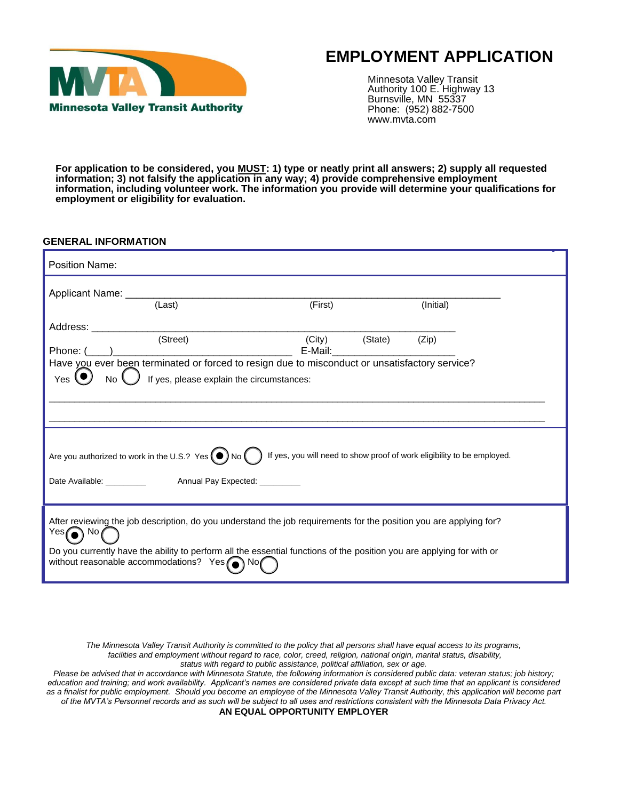

# **EMPLOYMENT APPLICATION**

Minnesota Valley Transit Authority 100 E. Highway 13 Burnsville, MN 55337 Phone: (952) 882-7500 www.mvta.com

**For application to be considered, you MUST: 1) type or neatly print all answers; 2) supply all requested information; 3) not falsify the application in any way; 4) provide comprehensive employment information, including volunteer work. The information you provide will determine your qualifications for employment or eligibility for evaluation.** 

### **GENERAL INFORMATION**

| Position Name:                                                                                                                                                                                                                                                                                             |                                                                         |           |
|------------------------------------------------------------------------------------------------------------------------------------------------------------------------------------------------------------------------------------------------------------------------------------------------------------|-------------------------------------------------------------------------|-----------|
| (Last)                                                                                                                                                                                                                                                                                                     | (First)                                                                 | (Initial) |
| Address: ____________<br>(Street)<br>Phone: ( )<br>Have you ever been terminated or forced to resign due to misconduct or unsatisfactory service?<br>If yes, please explain the circumstances:<br>Yes                                                                                                      | (City)<br>(State)<br>E-Mail: E-Mail:                                    | (Zip)     |
| Are you authorized to work in the U.S.? Yes $\bigodot$ No $\bigodot$<br>Date Available: Annual Pay Expected:                                                                                                                                                                                               | If yes, you will need to show proof of work eligibility to be employed. |           |
| After reviewing the job description, do you understand the job requirements for the position you are applying for?<br>$Yes$ No $\alpha$<br>Do you currently have the ability to perform all the essential functions of the position you are applying for with or<br>without reasonable accommodations? Yes |                                                                         |           |

*The Minnesota Valley Transit Authority is committed to the policy that all persons shall have equal access to its programs, facilities and employment without regard to race, color, creed, religion, national origin, marital status, disability, status with regard to public assistance, political affiliation, sex or age.*

*Please be advised that in accordance with Minnesota Statute, the following information is considered public data: veteran status; job history;*  education and training; and work availability. Applicant's names are considered private data except at such time that an applicant is considered *as a finalist for public employment. Should you become an employee of the Minnesota Valley Transit Authority, this application will become part of the MVTA's Personnel records and as such will be subject to all uses and restrictions consistent with the Minnesota Data Privacy Act.* **AN EQUAL OPPORTUNITY EMPLOYER**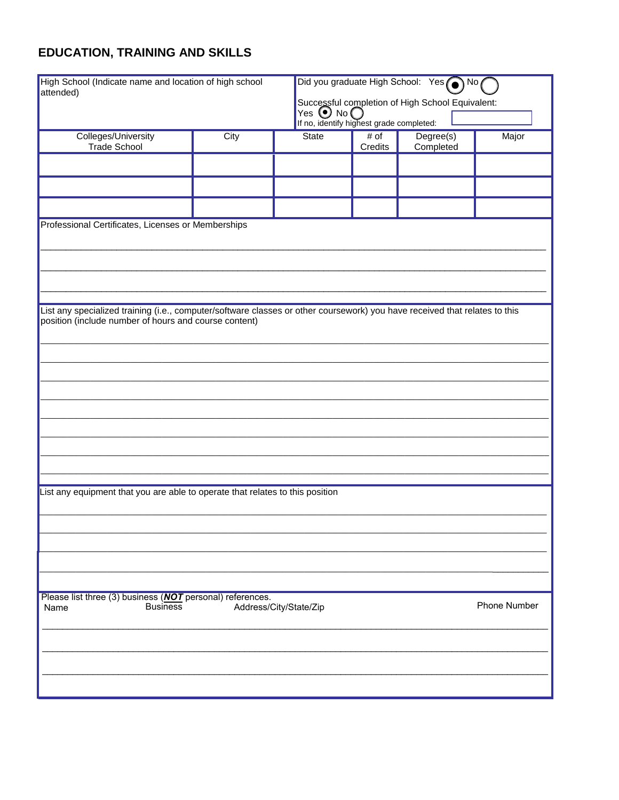# **EDUCATION, TRAINING AND SKILLS**

| High School (Indicate name and location of high school<br>attended)                                                        |      |                        | Did you graduate High School: Yes <a> No<br/> (<br/>Successful completion of High School Equivalent:<br/>Yes <math>\bigcirc</math> No <math>\bigcirc</math><br>If no, identify highest grade completed:</br></a> |                        |              |  |
|----------------------------------------------------------------------------------------------------------------------------|------|------------------------|------------------------------------------------------------------------------------------------------------------------------------------------------------------------------------------------------------------|------------------------|--------------|--|
| Colleges/University<br>Trade School                                                                                        | City | State                  | # of<br>Credits                                                                                                                                                                                                  | Degree(s)<br>Completed | Major        |  |
|                                                                                                                            |      |                        |                                                                                                                                                                                                                  |                        |              |  |
|                                                                                                                            |      |                        |                                                                                                                                                                                                                  |                        |              |  |
| Professional Certificates, Licenses or Memberships                                                                         |      |                        |                                                                                                                                                                                                                  |                        |              |  |
|                                                                                                                            |      |                        |                                                                                                                                                                                                                  |                        |              |  |
| List any specialized training (i.e., computer/software classes or other coursework) you have received that relates to this |      |                        |                                                                                                                                                                                                                  |                        |              |  |
| position (include number of hours and course content)                                                                      |      |                        |                                                                                                                                                                                                                  |                        |              |  |
|                                                                                                                            |      |                        |                                                                                                                                                                                                                  |                        |              |  |
|                                                                                                                            |      |                        |                                                                                                                                                                                                                  |                        |              |  |
|                                                                                                                            |      |                        |                                                                                                                                                                                                                  |                        |              |  |
|                                                                                                                            |      |                        |                                                                                                                                                                                                                  |                        |              |  |
| List any equipment that you are able to operate that relates to this position                                              |      |                        |                                                                                                                                                                                                                  |                        |              |  |
|                                                                                                                            |      |                        |                                                                                                                                                                                                                  |                        |              |  |
|                                                                                                                            |      |                        |                                                                                                                                                                                                                  |                        |              |  |
|                                                                                                                            |      |                        |                                                                                                                                                                                                                  |                        |              |  |
| Please list three (3) business (NOT personal) references.<br><b>Business</b><br>Name                                       |      | Address/City/State/Zip |                                                                                                                                                                                                                  |                        | Phone Number |  |
|                                                                                                                            |      |                        |                                                                                                                                                                                                                  |                        |              |  |
|                                                                                                                            |      |                        |                                                                                                                                                                                                                  |                        |              |  |
|                                                                                                                            |      |                        |                                                                                                                                                                                                                  |                        |              |  |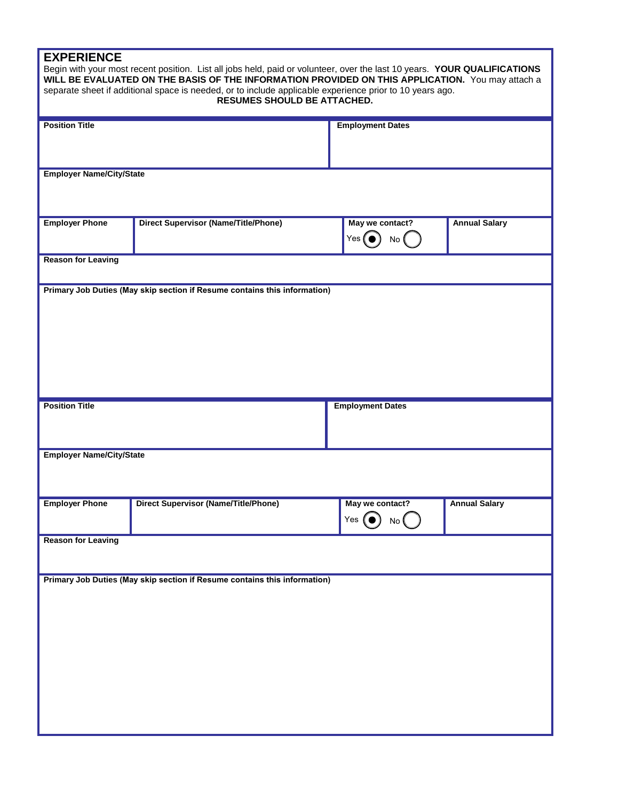## **EXPERIENCE**

|                                 | Begin with your most recent position. List all jobs held, paid or volunteer, over the last 10 years. YOUR QUALIFICATIONS<br>WILL BE EVALUATED ON THE BASIS OF THE INFORMATION PROVIDED ON THIS APPLICATION. You may attach a<br>separate sheet if additional space is needed, or to include applicable experience prior to 10 years ago.<br><b>RESUMES SHOULD BE ATTACHED.</b> |                                        |                      |  |
|---------------------------------|--------------------------------------------------------------------------------------------------------------------------------------------------------------------------------------------------------------------------------------------------------------------------------------------------------------------------------------------------------------------------------|----------------------------------------|----------------------|--|
| <b>Position Title</b>           |                                                                                                                                                                                                                                                                                                                                                                                | <b>Employment Dates</b>                |                      |  |
| <b>Employer Name/City/State</b> |                                                                                                                                                                                                                                                                                                                                                                                |                                        |                      |  |
| <b>Employer Phone</b>           | <b>Direct Supervisor (Name/Title/Phone)</b>                                                                                                                                                                                                                                                                                                                                    | May we contact?<br>Yes $\bullet$<br>No | <b>Annual Salary</b> |  |
| <b>Reason for Leaving</b>       |                                                                                                                                                                                                                                                                                                                                                                                |                                        |                      |  |
|                                 | Primary Job Duties (May skip section if Resume contains this information)                                                                                                                                                                                                                                                                                                      |                                        |                      |  |
|                                 |                                                                                                                                                                                                                                                                                                                                                                                |                                        |                      |  |
| <b>Position Title</b>           |                                                                                                                                                                                                                                                                                                                                                                                | <b>Employment Dates</b>                |                      |  |
| <b>Employer Name/City/State</b> |                                                                                                                                                                                                                                                                                                                                                                                |                                        |                      |  |
| <b>Employer Phone</b>           | <b>Direct Supervisor (Name/Title/Phone)</b>                                                                                                                                                                                                                                                                                                                                    | May we contact?<br>Yes $\bullet$<br>No | <b>Annual Salary</b> |  |
| <b>Reason for Leaving</b>       |                                                                                                                                                                                                                                                                                                                                                                                |                                        |                      |  |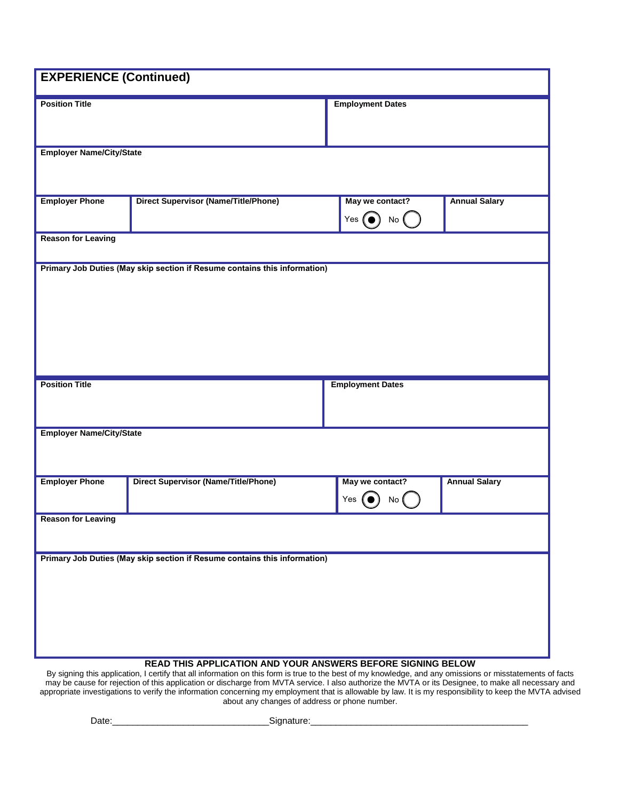| <b>EXPERIENCE (Continued)</b>   |                                                                           |                                                       |                      |
|---------------------------------|---------------------------------------------------------------------------|-------------------------------------------------------|----------------------|
| <b>Position Title</b>           |                                                                           | <b>Employment Dates</b>                               |                      |
| <b>Employer Name/City/State</b> |                                                                           |                                                       |                      |
| <b>Employer Phone</b>           | <b>Direct Supervisor (Name/Title/Phone)</b>                               | May we contact?<br>Yes $\left(\bullet\right)$<br>No ( | <b>Annual Salary</b> |
| <b>Reason for Leaving</b>       |                                                                           |                                                       |                      |
|                                 |                                                                           |                                                       |                      |
| <b>Position Title</b>           |                                                                           | <b>Employment Dates</b>                               |                      |
| <b>Employer Name/City/State</b> |                                                                           |                                                       |                      |
| <b>Employer Phone</b>           | <b>Direct Supervisor (Name/Title/Phone)</b>                               | May we contact?<br>Yes<br>No l                        | <b>Annual Salary</b> |
| <b>Reason for Leaving</b>       |                                                                           |                                                       |                      |
|                                 | Primary Job Duties (May skip section if Resume contains this information) |                                                       |                      |

By signing this application, I certify that all information on this form is true to the best of my knowledge, and any omissions or misstatements of facts may be cause for rejection of this application or discharge from MVTA service. I also authorize the MVTA or its Designee, to make all necessary and appropriate investigations to verify the information concerning my employment that is allowable by law. It is my responsibility to keep the MVTA advised about any changes of address or phone number.

Date:\_\_\_\_\_\_\_\_\_\_\_\_\_\_\_\_\_\_\_\_\_\_\_\_\_\_\_\_\_\_\_Signature:\_\_\_\_\_\_\_\_\_\_\_\_\_\_\_\_\_\_\_\_\_\_\_\_\_\_\_\_\_\_\_\_\_\_\_\_\_\_\_\_\_\_\_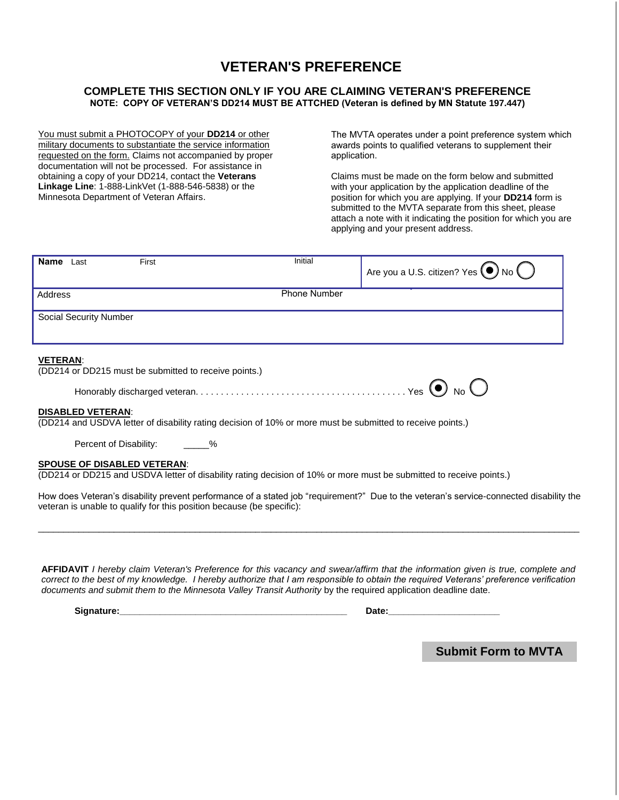## **VETERAN'S PREFERENCE**

## **COMPLETE THIS SECTION ONLY IF YOU ARE CLAIMING VETERAN'S PREFERENCE NOTE: COPY OF VETERAN'S DD214 MUST BE ATTCHED (Veteran is defined by MN Statute 197.447)**

You must submit a PHOTOCOPY of your **DD214** or other military documents to substantiate the service information requested on the form. Claims not accompanied by proper documentation will not be processed. For assistance in obtaining a copy of your DD214, contact the **Veterans Linkage Line**: 1-888-LinkVet (1-888-546-5838) or the Minnesota Department of Veteran Affairs.

The MVTA operates under a point preference system which awards points to qualified veterans to supplement their application.

Claims must be made on the form below and submitted with your application by the application deadline of the position for which you are applying. If your **DD214** form is submitted to the MVTA separate from this sheet, please attach a note with it indicating the position for which you are applying and your present address.

| Name<br>Last                  | First | Initial             | Are you a U.S. citizen? Yes<br>No |
|-------------------------------|-------|---------------------|-----------------------------------|
| Address                       |       | <b>Phone Number</b> |                                   |
| <b>Social Security Number</b> |       |                     |                                   |

### **VETERAN**:

(DD214 or DD215 must be submitted to receive points.)

#### **DISABLED VETERAN**:

(DD214 and USDVA letter of disability rating decision of 10% or more must be submitted to receive points.)

Percent of Disability: \_\_\_\_\_\_%

### **SPOUSE OF DISABLED VETERAN**:

(DD214 or DD215 and USDVA letter of disability rating decision of 10% or more must be submitted to receive points.)

How does Veteran's disability prevent performance of a stated job "requirement?" Due to the veteran's service-connected disability the veteran is unable to qualify for this position because (be specific):

\_\_\_\_\_\_\_\_\_\_\_\_\_\_\_\_\_\_\_\_\_\_\_\_\_\_\_\_\_\_\_\_\_\_\_\_\_\_\_\_\_\_\_\_\_\_\_\_\_\_\_\_\_\_\_\_\_\_\_\_\_\_\_\_\_\_\_\_\_\_\_\_\_\_\_\_\_\_\_\_\_\_\_\_\_\_\_\_\_\_\_\_\_\_\_\_\_\_\_\_\_\_\_\_\_\_\_

AFFIDAVIT I hereby claim Veteran's Preference for this vacancy and swear/affirm that the information given is true, complete and *correct to the best of my knowledge. I hereby authorize that I am responsible to obtain the required Veterans' preference verification documents and submit them to the Minnesota Valley Transit Authority* by the required application deadline date.

**Signature:\_\_\_\_\_\_\_\_\_\_\_\_\_\_\_\_\_\_\_\_\_\_\_\_\_\_\_\_\_\_\_\_\_\_\_\_\_\_\_\_\_\_\_\_\_ Date:\_\_\_\_\_\_\_\_\_\_\_\_\_\_\_\_\_\_\_\_\_\_** 

**Submit Form to MVTA**